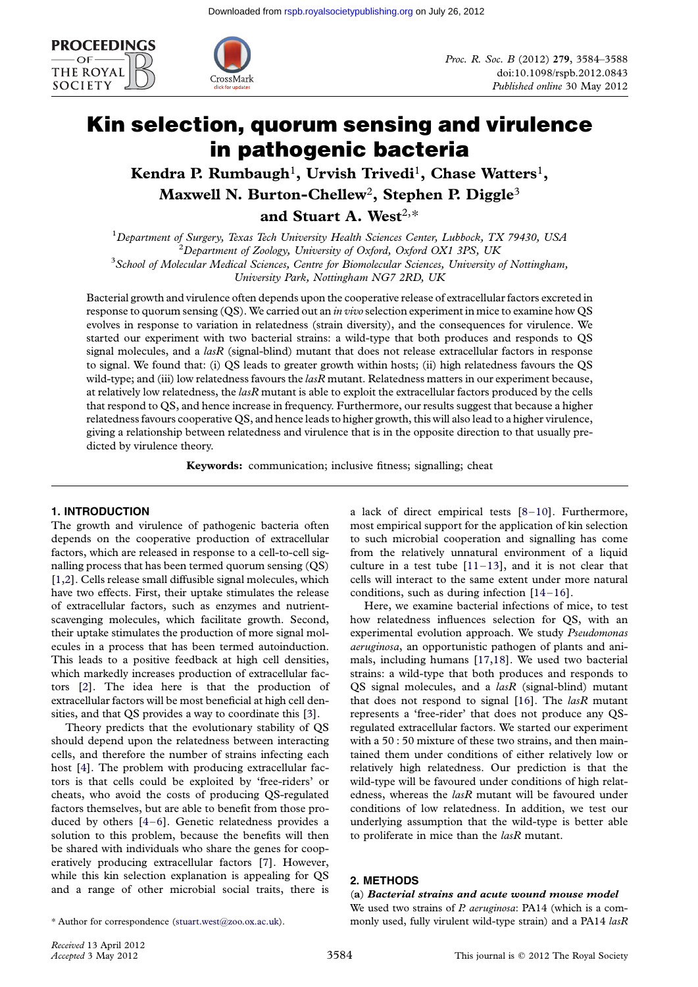



# Kin selection, quorum sensing and virulence in pathogenic bacteria

Kendra P. Rumbaugh<sup>1</sup>, Urvish Trivedi<sup>1</sup>, Chase Watters<sup>1</sup>, Maxwell N. Burton-Chellew<sup>2</sup>, Stephen P. Diggle<sup>3</sup> and Stuart A. West $2.*$ 

<sup>1</sup>Department of Surgery, Texas Tech University Health Sciences Center, Lubbock, TX 79430, USA<br><sup>2</sup>Department of Zoology, University of Oxford, Oxford OX1, 2PS, UK  $\mathcal{C}$ Department of Zoology, University of Oxford, Oxford OX1 3PS, UK  $3$ School of Molecular Medical Sciences, Centre for Biomolecular Sciences, University of Nottingham, University Park, Nottingham NG7 2RD, UK

Bacterial growth and virulence often depends upon the cooperative release of extracellular factors excreted in response to quorum sensing (QS). We carried out an *in vivo* selection experiment in mice to examine how QS evolves in response to variation in relatedness (strain diversity), and the consequences for virulence. We started our experiment with two bacterial strains: a wild-type that both produces and responds to QS signal molecules, and a  $lasR$  (signal-blind) mutant that does not release extracellular factors in response to signal. We found that: (i) QS leads to greater growth within hosts; (ii) high relatedness favours the QS wild-type; and (iii) low relatedness favours the  $lasR$  mutant. Relatedness matters in our experiment because, at relatively low relatedness, the  $lasR$  mutant is able to exploit the extracellular factors produced by the cells that respond to QS, and hence increase in frequency. Furthermore, our results suggest that because a higher relatedness favours cooperative QS, and hence leads to higher growth, this will also lead to a higher virulence, giving a relationship between relatedness and virulence that is in the opposite direction to that usually predicted by virulence theory.

Keywords: communication; inclusive fitness; signalling; cheat

## 1. INTRODUCTION

The growth and virulence of pathogenic bacteria often depends on the cooperative production of extracellular factors, which are released in response to a cell-to-cell signalling process that has been termed quorum sensing (QS) [\[1,2](#page-4-0)]. Cells release small diffusible signal molecules, which have two effects. First, their uptake stimulates the release of extracellular factors, such as enzymes and nutrientscavenging molecules, which facilitate growth. Second, their uptake stimulates the production of more signal molecules in a process that has been termed autoinduction. This leads to a positive feedback at high cell densities, which markedly increases production of extracellular factors [\[2](#page-4-0)]. The idea here is that the production of extracellular factors will be most beneficial at high cell densities, and that QS provides a way to coordinate this [[3\]](#page-4-0).

Theory predicts that the evolutionary stability of QS should depend upon the relatedness between interacting cells, and therefore the number of strains infecting each host [[4\]](#page-4-0). The problem with producing extracellular factors is that cells could be exploited by 'free-riders' or cheats, who avoid the costs of producing QS-regulated factors themselves, but are able to benefit from those produced by others [[4](#page-4-0)–[6\]](#page-4-0). Genetic relatedness provides a solution to this problem, because the benefits will then be shared with individuals who share the genes for cooperatively producing extracellular factors [\[7](#page-4-0)]. However, while this kin selection explanation is appealing for QS and a range of other microbial social traits, there is

a lack of direct empirical tests [\[8](#page-4-0)–[10](#page-4-0)]. Furthermore, most empirical support for the application of kin selection to such microbial cooperation and signalling has come from the relatively unnatural environment of a liquid culture in a test tube  $[11-13]$  $[11-13]$  $[11-13]$  $[11-13]$ , and it is not clear that cells will interact to the same extent under more natural conditions, such as during infection [\[14](#page-4-0)–[16\]](#page-4-0).

Here, we examine bacterial infections of mice, to test how relatedness influences selection for QS, with an experimental evolution approach. We study Pseudomonas aeruginosa, an opportunistic pathogen of plants and animals, including humans [[17,18](#page-4-0)]. We used two bacterial strains: a wild-type that both produces and responds to  $OS$  signal molecules, and a *lasR* (signal-blind) mutant that does not respond to signal [[16](#page-4-0)]. The *lasR* mutant represents a 'free-rider' that does not produce any QSregulated extracellular factors. We started our experiment with a 50 : 50 mixture of these two strains, and then maintained them under conditions of either relatively low or relatively high relatedness. Our prediction is that the wild-type will be favoured under conditions of high relatedness, whereas the  $lasR$  mutant will be favoured under conditions of low relatedness. In addition, we test our underlying assumption that the wild-type is better able to proliferate in mice than the lasR mutant.

## 2. METHODS

(a) Bacterial strains and acute wound mouse model We used two strains of P. aeruginosa: PA14 (which is a com-\* Author for correspondence ([stuart.west@zoo.ox.ac.uk\)](mailto:stuart.west@zoo.ox.ac.uk). monly used, fully virulent wild-type strain) and a PA14 lasR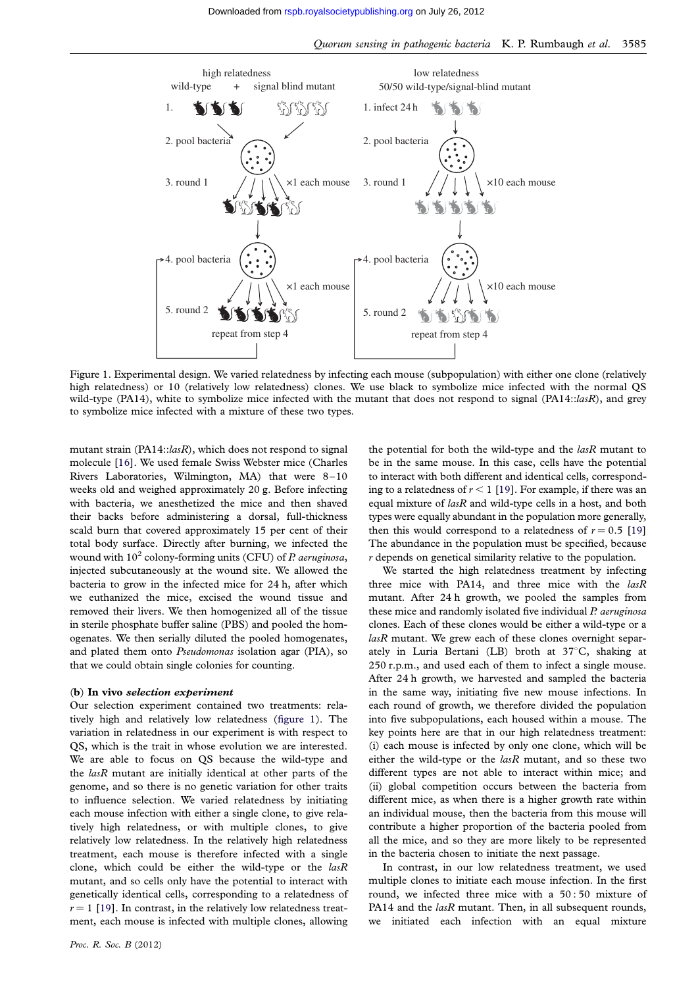

Figure 1. Experimental design. We varied relatedness by infecting each mouse (subpopulation) with either one clone (relatively high relatedness) or 10 (relatively low relatedness) clones. We use black to symbolize mice infected with the normal QS wild-type (PA14), white to symbolize mice infected with the mutant that does not respond to signal (PA14:: $lasR$ ), and grey to symbolize mice infected with a mixture of these two types.

mutant strain  $(PA14::lasR)$ , which does not respond to signal molecule [[16\]](#page-4-0). We used female Swiss Webster mice (Charles Rivers Laboratories, Wilmington, MA) that were  $8-10$ weeks old and weighed approximately 20 g. Before infecting with bacteria, we anesthetized the mice and then shaved their backs before administering a dorsal, full-thickness scald burn that covered approximately 15 per cent of their total body surface. Directly after burning, we infected the wound with  $10^2$  colony-forming units (CFU) of *P. aeruginosa*, injected subcutaneously at the wound site. We allowed the bacteria to grow in the infected mice for 24 h, after which we euthanized the mice, excised the wound tissue and removed their livers. We then homogenized all of the tissue in sterile phosphate buffer saline (PBS) and pooled the homogenates. We then serially diluted the pooled homogenates, and plated them onto Pseudomonas isolation agar (PIA), so that we could obtain single colonies for counting.

#### (b) In vivo selection experiment

Our selection experiment contained two treatments: relatively high and relatively low relatedness (figure 1). The variation in relatedness in our experiment is with respect to QS, which is the trait in whose evolution we are interested. We are able to focus on QS because the wild-type and the lasR mutant are initially identical at other parts of the genome, and so there is no genetic variation for other traits to influence selection. We varied relatedness by initiating each mouse infection with either a single clone, to give relatively high relatedness, or with multiple clones, to give relatively low relatedness. In the relatively high relatedness treatment, each mouse is therefore infected with a single clone, which could be either the wild-type or the lasR mutant, and so cells only have the potential to interact with genetically identical cells, corresponding to a relatedness of  $r = 1$  [\[19](#page-4-0)]. In contrast, in the relatively low relatedness treatment, each mouse is infected with multiple clones, allowing the potential for both the wild-type and the  $lasR$  mutant to be in the same mouse. In this case, cells have the potential to interact with both different and identical cells, corresponding to a relatedness of  $r < 1$  [[19](#page-4-0)]. For example, if there was an equal mixture of  $lasR$  and wild-type cells in a host, and both types were equally abundant in the population more generally, then this would correspond to a relatedness of  $r = 0.5$  [\[19](#page-4-0)] The abundance in the population must be specified, because r depends on genetical similarity relative to the population.

We started the high relatedness treatment by infecting three mice with PA14, and three mice with the lasR mutant. After 24 h growth, we pooled the samples from these mice and randomly isolated five individual P. aeruginosa clones. Each of these clones would be either a wild-type or a lasR mutant. We grew each of these clones overnight separately in Luria Bertani (LB) broth at  $37^{\circ}$ C, shaking at 250 r.p.m., and used each of them to infect a single mouse. After 24 h growth, we harvested and sampled the bacteria in the same way, initiating five new mouse infections. In each round of growth, we therefore divided the population into five subpopulations, each housed within a mouse. The key points here are that in our high relatedness treatment: (i) each mouse is infected by only one clone, which will be either the wild-type or the  $lasR$  mutant, and so these two different types are not able to interact within mice; and (ii) global competition occurs between the bacteria from different mice, as when there is a higher growth rate within an individual mouse, then the bacteria from this mouse will contribute a higher proportion of the bacteria pooled from all the mice, and so they are more likely to be represented in the bacteria chosen to initiate the next passage.

In contrast, in our low relatedness treatment, we used multiple clones to initiate each mouse infection. In the first round, we infected three mice with a 50 : 50 mixture of PA14 and the  $lasR$  mutant. Then, in all subsequent rounds, we initiated each infection with an equal mixture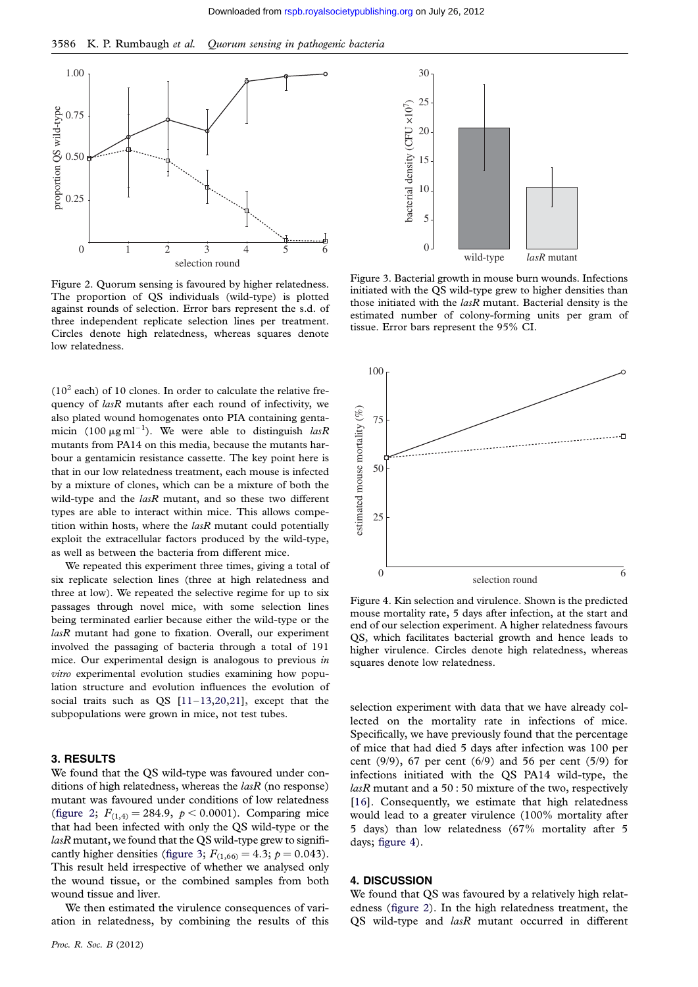<span id="page-2-0"></span>3586 K. P. Rumbaugh et al. Quorum sensing in pathogenic bacteria



Figure 2. Quorum sensing is favoured by higher relatedness. The proportion of QS individuals (wild-type) is plotted against rounds of selection. Error bars represent the s.d. of three independent replicate selection lines per treatment. Circles denote high relatedness, whereas squares denote low relatedness.

 $(10^2 \text{ each})$  of 10 clones. In order to calculate the relative frequency of *lasR* mutants after each round of infectivity, we also plated wound homogenates onto PIA containing gentamicin (100  $\mu$ g ml<sup>-1</sup>). We were able to distinguish *lasR* mutants from PA14 on this media, because the mutants harbour a gentamicin resistance cassette. The key point here is that in our low relatedness treatment, each mouse is infected by a mixture of clones, which can be a mixture of both the wild-type and the  $lasR$  mutant, and so these two different types are able to interact within mice. This allows competition within hosts, where the  $lasR$  mutant could potentially exploit the extracellular factors produced by the wild-type, as well as between the bacteria from different mice.

We repeated this experiment three times, giving a total of six replicate selection lines (three at high relatedness and three at low). We repeated the selective regime for up to six passages through novel mice, with some selection lines being terminated earlier because either the wild-type or the lasR mutant had gone to fixation. Overall, our experiment involved the passaging of bacteria through a total of 191 mice. Our experimental design is analogous to previous in vitro experimental evolution studies examining how population structure and evolution influences the evolution of social traits such as  $OS$   $[11–13,20,21]$  $[11–13,20,21]$  $[11–13,20,21]$  $[11–13,20,21]$  $[11–13,20,21]$ , except that the subpopulations were grown in mice, not test tubes.

# 3. RESULTS

We found that the QS wild-type was favoured under conditions of high relatedness, whereas the  $lasR$  (no response) mutant was favoured under conditions of low relatedness (figure 2;  $F_{(1,4)} = 284.9$ ,  $p < 0.0001$ ). Comparing mice that had been infected with only the QS wild-type or the  $lasR$  mutant, we found that the QS wild-type grew to significantly higher densities (figure 3;  $F_{(1,66)} = 4.3$ ;  $p = 0.043$ ). This result held irrespective of whether we analysed only the wound tissue, or the combined samples from both wound tissue and liver.

We then estimated the virulence consequences of variation in relatedness, by combining the results of this



Figure 3. Bacterial growth in mouse burn wounds. Infections initiated with the QS wild-type grew to higher densities than those initiated with the  $lasR$  mutant. Bacterial density is the estimated number of colony-forming units per gram of tissue. Error bars represent the 95% CI.



Figure 4. Kin selection and virulence. Shown is the predicted mouse mortality rate, 5 days after infection, at the start and end of our selection experiment. A higher relatedness favours QS, which facilitates bacterial growth and hence leads to higher virulence. Circles denote high relatedness, whereas squares denote low relatedness.

selection experiment with data that we have already collected on the mortality rate in infections of mice. Specifically, we have previously found that the percentage of mice that had died 5 days after infection was 100 per cent (9/9), 67 per cent (6/9) and 56 per cent (5/9) for infections initiated with the QS PA14 wild-type, the  $lasR$  mutant and a 50 : 50 mixture of the two, respectively [\[16\]](#page-4-0). Consequently, we estimate that high relatedness would lead to a greater virulence (100% mortality after 5 days) than low relatedness (67% mortality after 5 days; figure 4).

### 4. DISCUSSION

We found that QS was favoured by a relatively high relatedness (figure 2). In the high relatedness treatment, the QS wild-type and lasR mutant occurred in different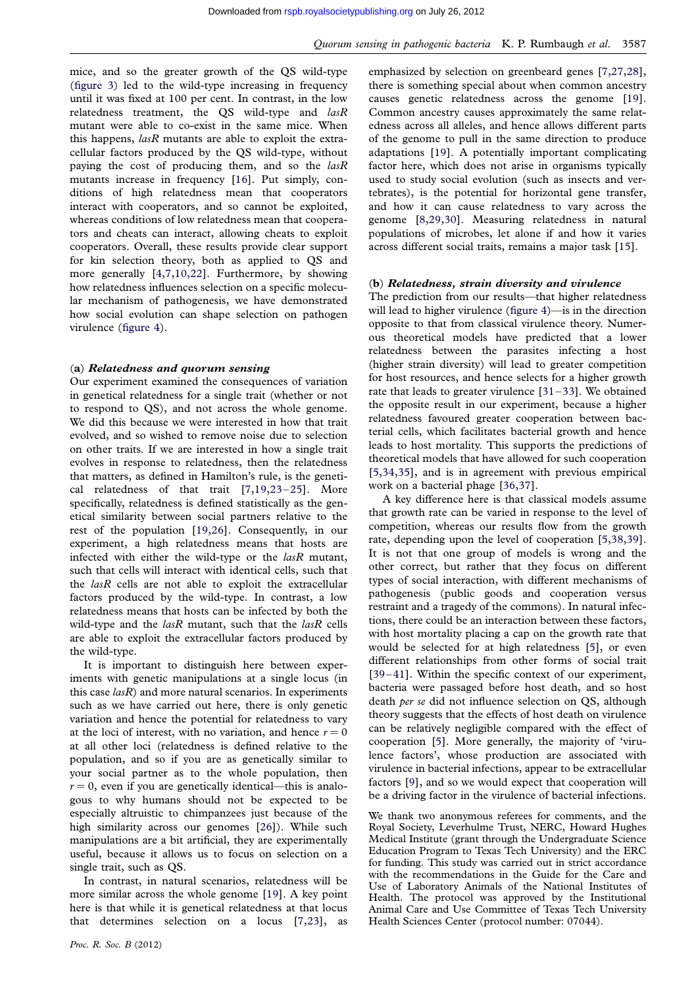mice, and so the greater growth of the QS wild-type [\(figure 3](#page-2-0)) led to the wild-type increasing in frequency until it was fixed at 100 per cent. In contrast, in the low relatedness treatment, the QS wild-type and  $lasR$ mutant were able to co-exist in the same mice. When this happens,  $lasR$  mutants are able to exploit the extracellular factors produced by the QS wild-type, without paying the cost of producing them, and so the lasR mutants increase in frequency [[16](#page-4-0)]. Put simply, conditions of high relatedness mean that cooperators interact with cooperators, and so cannot be exploited, whereas conditions of low relatedness mean that cooperators and cheats can interact, allowing cheats to exploit cooperators. Overall, these results provide clear support for kin selection theory, both as applied to QS and more generally [[4](#page-4-0),[7](#page-4-0),[10,22\]](#page-4-0). Furthermore, by showing how relatedness influences selection on a specific molecular mechanism of pathogenesis, we have demonstrated how social evolution can shape selection on pathogen virulence [\(figure 4](#page-2-0)).

#### (a) Relatedness and quorum sensing

Our experiment examined the consequences of variation in genetical relatedness for a single trait (whether or not to respond to QS), and not across the whole genome. We did this because we were interested in how that trait evolved, and so wished to remove noise due to selection on other traits. If we are interested in how a single trait evolves in response to relatedness, then the relatedness that matters, as defined in Hamilton's rule, is the genetical relatedness of that trait [\[7,19,23](#page-4-0)–[25](#page-4-0)]. More specifically, relatedness is defined statistically as the genetical similarity between social partners relative to the rest of the population [\[19,26\]](#page-4-0). Consequently, in our experiment, a high relatedness means that hosts are infected with either the wild-type or the lasR mutant, such that cells will interact with identical cells, such that the lasR cells are not able to exploit the extracellular factors produced by the wild-type. In contrast, a low relatedness means that hosts can be infected by both the wild-type and the  $lasR$  mutant, such that the  $lasR$  cells are able to exploit the extracellular factors produced by the wild-type.

It is important to distinguish here between experiments with genetic manipulations at a single locus (in this case  $lasR$ ) and more natural scenarios. In experiments such as we have carried out here, there is only genetic variation and hence the potential for relatedness to vary at the loci of interest, with no variation, and hence  $r = 0$ at all other loci (relatedness is defined relative to the population, and so if you are as genetically similar to your social partner as to the whole population, then  $r = 0$ , even if you are genetically identical—this is analogous to why humans should not be expected to be especially altruistic to chimpanzees just because of the high similarity across our genomes [[26](#page-4-0)]). While such manipulations are a bit artificial, they are experimentally useful, because it allows us to focus on selection on a single trait, such as QS.

In contrast, in natural scenarios, relatedness will be more similar across the whole genome [\[19\]](#page-4-0). A key point here is that while it is genetical relatedness at that locus that determines selection on a locus [[7](#page-4-0),[23](#page-4-0)], as emphasized by selection on greenbeard genes [\[7,27,28](#page-4-0)], there is something special about when common ancestry causes genetic relatedness across the genome [[19](#page-4-0)]. Common ancestry causes approximately the same relatedness across all alleles, and hence allows different parts of the genome to pull in the same direction to produce adaptations [\[19](#page-4-0)]. A potentially important complicating factor here, which does not arise in organisms typically used to study social evolution (such as insects and vertebrates), is the potential for horizontal gene transfer, and how it can cause relatedness to vary across the genome [[8](#page-4-0),[29,30\]](#page-4-0). Measuring relatedness in natural populations of microbes, let alone if and how it varies across different social traits, remains a major task [[15](#page-4-0)].

#### (b) Relatedness, strain diversity and virulence

The prediction from our results—that higher relatedness will lead to higher virulence ([figure 4\)](#page-2-0)—is in the direction opposite to that from classical virulence theory. Numerous theoretical models have predicted that a lower relatedness between the parasites infecting a host (higher strain diversity) will lead to greater competition for host resources, and hence selects for a higher growth rate that leads to greater virulence [[31](#page-4-0)–[33](#page-4-0)]. We obtained the opposite result in our experiment, because a higher relatedness favoured greater cooperation between bacterial cells, which facilitates bacterial growth and hence leads to host mortality. This supports the predictions of theoretical models that have allowed for such cooperation [\[5,34,35\]](#page-4-0), and is in agreement with previous empirical work on a bacterial phage [\[36,37\]](#page-4-0).

A key difference here is that classical models assume that growth rate can be varied in response to the level of competition, whereas our results flow from the growth rate, depending upon the level of cooperation [\[5,38,39](#page-4-0)]. It is not that one group of models is wrong and the other correct, but rather that they focus on different types of social interaction, with different mechanisms of pathogenesis (public goods and cooperation versus restraint and a tragedy of the commons). In natural infections, there could be an interaction between these factors, with host mortality placing a cap on the growth rate that would be selected for at high relatedness [[5](#page-4-0)], or even different relationships from other forms of social trait [\[39](#page-4-0)–[41\]](#page-4-0). Within the specific context of our experiment, bacteria were passaged before host death, and so host death per se did not influence selection on QS, although theory suggests that the effects of host death on virulence can be relatively negligible compared with the effect of cooperation [[5\]](#page-4-0). More generally, the majority of 'virulence factors', whose production are associated with virulence in bacterial infections, appear to be extracellular factors [[9](#page-4-0)], and so we would expect that cooperation will be a driving factor in the virulence of bacterial infections.

We thank two anonymous referees for comments, and the Royal Society, Leverhulme Trust, NERC, Howard Hughes Medical Institute (grant through the Undergraduate Science Education Program to Texas Tech University) and the ERC for funding. This study was carried out in strict accordance with the recommendations in the Guide for the Care and Use of Laboratory Animals of the National Institutes of Health. The protocol was approved by the Institutional Animal Care and Use Committee of Texas Tech University Health Sciences Center (protocol number: 07044).